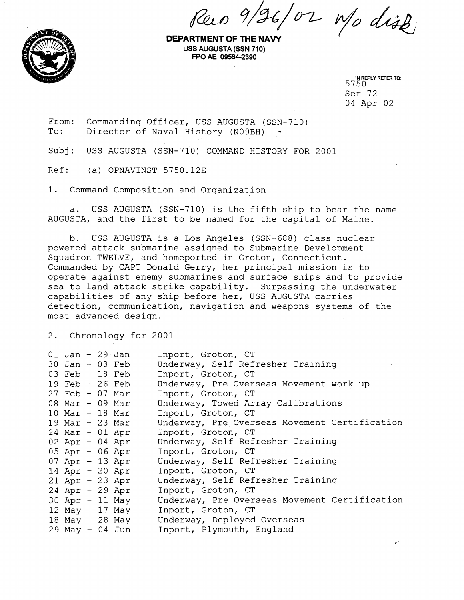$Revo$  9/26/02 Mo dist



**DEPARTMENT OF THE NAW USS AUGUSTA (SSN 710) FPO AE 09564-2390** 

IN REPLY REFER TO:<br>5750 Ser 72 04 Apr 02

From: Commanding Officer, USS AUGUSTA (SSN-710)<br>To: Director of Naval History (N09BH) . Director of Naval History (N09BH) -

Subj: USS AUGUSTA (SSN-710) COMMAND HISTORY FOR 2001

Ref: (a) OPNAVINST 5750.12E

1. Command Composition and Organization

a. USS AUGUSTA (SSN-710) is the fifth ship to bear the name AUGUSTA, and the first to be named for the capital of Maine.

b. USS AUGUSTA is a Los Angeles (SSN-688) class nuclear powered attack submarine assigned to Submarine Development Squadron TWELVE, and homeported in Groton, Connecticut. Commanded by CAPT Donald Gerry, her principal mission is to operate against enemy submarines and surface ships and to provide sea to land attack strike capability. Surpassing the underwater capabilities of any ship before her, USS AUGUSTA carries detection, communication, navigation and weapons systems of the most advanced design.

2. Chronology for 2001

| $01$ Jan - 29 Jan |  |                 | Inport, Groton, CT                            |
|-------------------|--|-----------------|-----------------------------------------------|
| $30$ Jan - 03 Feb |  |                 | Underway, Self Refresher Training             |
| 03 Feb $-18$ Feb  |  |                 | Inport, Groton, CT                            |
| 19 Feb $-26$ Feb  |  |                 | Underway, Pre Overseas Movement work up       |
| $27$ Feb - 07 Mar |  |                 | Inport, Groton, CT                            |
| 08 Mar - 09 Mar   |  |                 | Underway, Towed Array Calibrations            |
| $10$ Mar - 18 Mar |  |                 | Inport, Groton, CT                            |
| $19$ Mar - 23 Mar |  |                 | Underway, Pre Overseas Movement Certification |
| $24$ Mar - 01 Apr |  |                 | Inport, Groton, CT                            |
| $02$ Apr - 04 Apr |  |                 | Underway, Self Refresher Training             |
| $05$ Apr - 06 Apr |  |                 | Inport, Groton, CT                            |
| $07$ Apr - 13 Apr |  |                 | Underway, Self Refresher Training             |
| 14 Apr $-20$ Apr  |  |                 | Inport, Groton, CT                            |
| $21$ Apr - 23 Apr |  |                 | Underway, Self Refresher Training             |
| $24$ Apr - 29 Apr |  |                 | Inport, Groton, CT                            |
| $30$ Apr - 11 May |  |                 | Underway, Pre Overseas Movement Certification |
| 12 May - 17 May   |  |                 | Inport, Groton, CT                            |
|                   |  | 18 May - 28 May | Underway, Deployed Overseas                   |
| $29$ May - 04 Jun |  |                 | Inport, Plymouth, England                     |